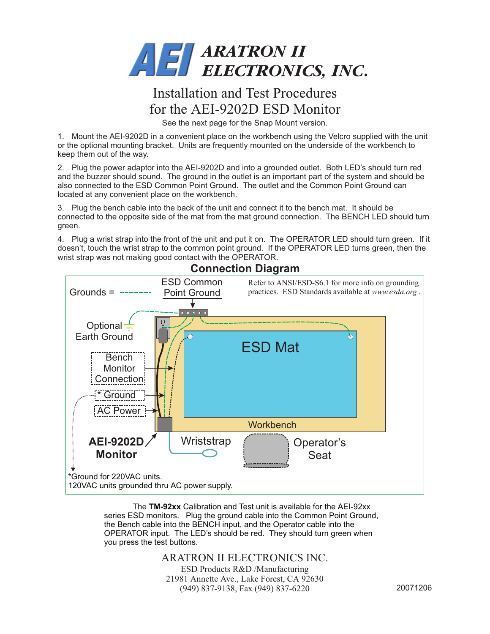

## Installation and Test Procedures for the AEI-9202D ESD Monitor

See the next page for the Snap Mount version.

1. Mount the AEI-9202D in a convenient place on the workbench using the Velcro supplied with the unit or the optional mounting bracket. Units are frequently mounted on the underside of the workbench to keep them out of the way.

2. Plug the power adaptor into the AEI-9202D and into a grounded outlet. Both LED's should turn red and the buzzer should sound. The ground in the outlet is an important part of the system and should be also connected to the ESD Common Point Ground. The outlet and the Common Point Ground can located at any convenient place on the workbench.

3. Plug the bench cable into the back of the unit and connect it to the bench mat. It should be connected to the opposite side of the mat from the mat ground connection. The BENCH LED should turn green.

4. Plug a wrist strap into the front of the unit and put it on. The OPERATOR LED should turn green. If it doesn't, touch the wrist strap to the common point ground. If the OPERATOR LED turns green, then the wrist strap was not making good contact with the OPERATOR.



**Connection Diagram**

The **TM-92xx** Calibration and Test unit is available for the AEI-92xx series ESD monitors. Plug the ground cable into the Common Point Ground, the Bench cable into the BENCH input, and the Operator cable into the OPERATOR input. The LED's should be red. They should turn green when you press the test buttons.

ARATRON II ELECTRONICS INC.

ESD Products R&D /Manufacturing 21981 Annette Ave., Lake Forest, CA 92630 (949) 837-9138, Fax (949) 837-6220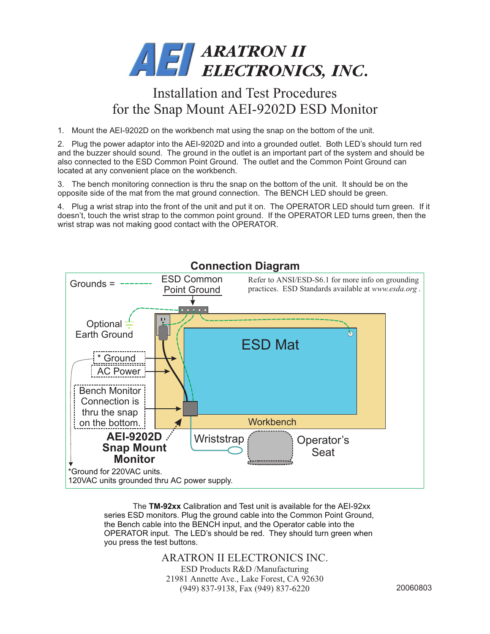

## Installation and Test Procedures for the Snap Mount AEI-9202D ESD Monitor

1. Mount the AEI-9202D on the workbench mat using the snap on the bottom of the unit.

2. Plug the power adaptor into the AEI-9202D and into a grounded outlet. Both LED's should turn red and the buzzer should sound. The ground in the outlet is an important part of the system and should be also connected to the ESD Common Point Ground. The outlet and the Common Point Ground can located at any convenient place on the workbench.

3. The bench monitoring connection is thru the snap on the bottom of the unit. It should be on the opposite side of the mat from the mat ground connection. The BENCH LED should be green.

4. Plug a wrist strap into the front of the unit and put it on. The OPERATOR LED should turn green. If it doesn't, touch the wrist strap to the common point ground. If the OPERATOR LED turns green, then the wrist strap was not making good contact with the OPERATOR.



The **TM-92xx** Calibration and Test unit is available for the AEI-92xx series ESD monitors. Plug the ground cable into the Common Point Ground, the Bench cable into the BENCH input, and the Operator cable into the OPERATOR input. The LED's should be red. They should turn green when you press the test buttons.

ARATRON II ELECTRONICS INC.

ESD Products R&D /Manufacturing 21981 Annette Ave., Lake Forest, CA 92630 (949) 837-9138, Fax (949) 837-6220